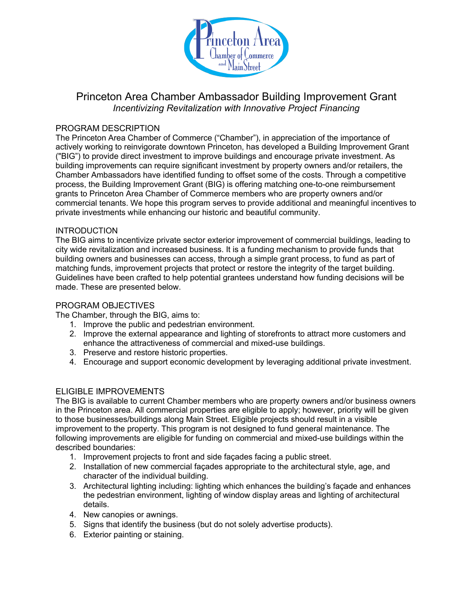

# Princeton Area Chamber Ambassador Building Improvement Grant *Incentivizing Revitalization with Innovative Project Financing*

### PROGRAM DESCRIPTION

The Princeton Area Chamber of Commerce ("Chamber"), in appreciation of the importance of actively working to reinvigorate downtown Princeton, has developed a Building Improvement Grant ("BIG") to provide direct investment to improve buildings and encourage private investment. As building improvements can require significant investment by property owners and/or retailers, the Chamber Ambassadors have identified funding to offset some of the costs. Through a competitive process, the Building Improvement Grant (BIG) is offering matching one-to-one reimbursement grants to Princeton Area Chamber of Commerce members who are property owners and/or commercial tenants. We hope this program serves to provide additional and meaningful incentives to private investments while enhancing our historic and beautiful community.

#### INTRODUCTION

The BIG aims to incentivize private sector exterior improvement of commercial buildings, leading to city wide revitalization and increased business. It is a funding mechanism to provide funds that building owners and businesses can access, through a simple grant process, to fund as part of matching funds, improvement projects that protect or restore the integrity of the target building. Guidelines have been crafted to help potential grantees understand how funding decisions will be made. These are presented below.

## PROGRAM OBJECTIVES

The Chamber, through the BIG, aims to:

- 1. Improve the public and pedestrian environment.
- 2. Improve the external appearance and lighting of storefronts to attract more customers and enhance the attractiveness of commercial and mixed-use buildings.
- 3. Preserve and restore historic properties.
- 4. Encourage and support economic development by leveraging additional private investment.

# ELIGIBLE IMPROVEMENTS

The BIG is available to current Chamber members who are property owners and/or business owners in the Princeton area. All commercial properties are eligible to apply; however, priority will be given to those businesses/buildings along Main Street. Eligible projects should result in a visible improvement to the property. This program is not designed to fund general maintenance. The following improvements are eligible for funding on commercial and mixed-use buildings within the described boundaries:

- 1. Improvement projects to front and side façades facing a public street.
- 2. Installation of new commercial façades appropriate to the architectural style, age, and character of the individual building.
- 3. Architectural lighting including: lighting which enhances the building's façade and enhances the pedestrian environment, lighting of window display areas and lighting of architectural details.
- 4. New canopies or awnings.
- 5. Signs that identify the business (but do not solely advertise products).
- 6. Exterior painting or staining.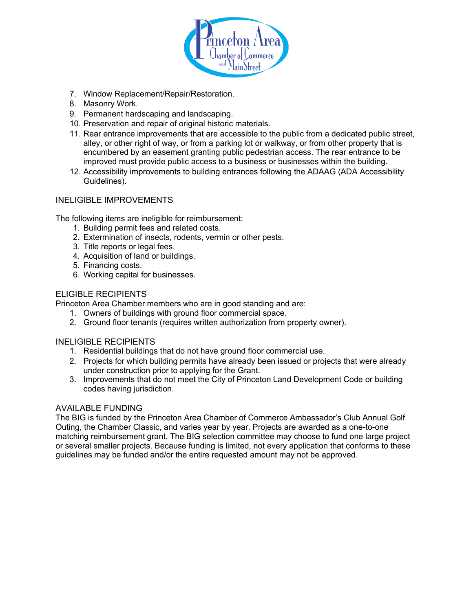

- 7. Window Replacement/Repair/Restoration.
- 8. Masonry Work.
- 9. Permanent hardscaping and landscaping.
- 10. Preservation and repair of original historic materials.
- 11. Rear entrance improvements that are accessible to the public from a dedicated public street, alley, or other right of way, or from a parking lot or walkway, or from other property that is encumbered by an easement granting public pedestrian access. The rear entrance to be improved must provide public access to a business or businesses within the building.
- 12. Accessibility improvements to building entrances following the ADAAG (ADA Accessibility Guidelines).

# INELIGIBLE IMPROVEMENTS

The following items are ineligible for reimbursement:

- 1. Building permit fees and related costs.
- 2. Extermination of insects, rodents, vermin or other pests.
- 3. Title reports or legal fees.
- 4. Acquisition of land or buildings.
- 5. Financing costs.
- 6. Working capital for businesses.

# ELIGIBLE RECIPIENTS

Princeton Area Chamber members who are in good standing and are:

- 1. Owners of buildings with ground floor commercial space.
- 2. Ground floor tenants (requires written authorization from property owner).

#### INELIGIBLE RECIPIENTS

- 1. Residential buildings that do not have ground floor commercial use.
- 2. Projects for which building permits have already been issued or projects that were already under construction prior to applying for the Grant.
- 3. Improvements that do not meet the City of Princeton Land Development Code or building codes having jurisdiction.

#### AVAILABLE FUNDING

The BIG is funded by the Princeton Area Chamber of Commerce Ambassador's Club Annual Golf Outing, the Chamber Classic, and varies year by year. Projects are awarded as a one-to-one matching reimbursement grant. The BIG selection committee may choose to fund one large project or several smaller projects. Because funding is limited, not every application that conforms to these guidelines may be funded and/or the entire requested amount may not be approved.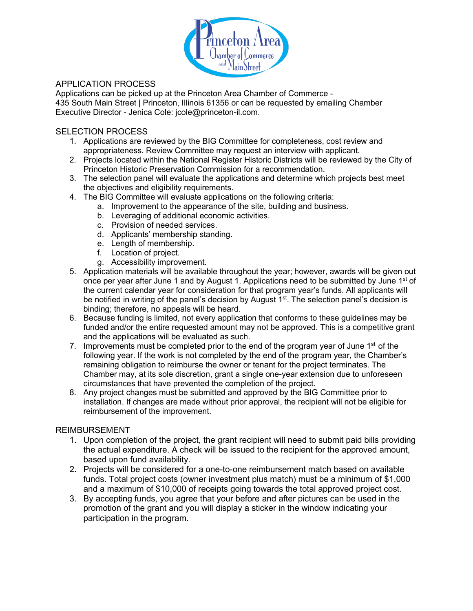

# APPLICATION PROCESS

Applications can be picked up at the Princeton Area Chamber of Commerce - 435 South Main Street | Princeton, Illinois 61356 or can be requested by emailing Chamber Executive Director - Jenica Cole: jcole@princeton-il.com.

# SELECTION PROCESS

- 1. Applications are reviewed by the BIG Committee for completeness, cost review and appropriateness. Review Committee may request an interview with applicant.
- 2. Projects located within the National Register Historic Districts will be reviewed by the City of Princeton Historic Preservation Commission for a recommendation.
- 3. The selection panel will evaluate the applications and determine which projects best meet the objectives and eligibility requirements.
- 4. The BIG Committee will evaluate applications on the following criteria:
	- a. Improvement to the appearance of the site, building and business.
	- b. Leveraging of additional economic activities.
	- c. Provision of needed services.
	- d. Applicants' membership standing.
	- e. Length of membership.
	- f. Location of project.
	- g. Accessibility improvement.
- 5. Application materials will be available throughout the year; however, awards will be given out once per year after June 1 and by August 1. Applications need to be submitted by June 1<sup>st</sup> of the current calendar year for consideration for that program year's funds. All applicants will be notified in writing of the panel's decision by August  $1<sup>st</sup>$ . The selection panel's decision is binding; therefore, no appeals will be heard.
- 6. Because funding is limited, not every application that conforms to these guidelines may be funded and/or the entire requested amount may not be approved. This is a competitive grant and the applications will be evaluated as such.
- 7. Improvements must be completed prior to the end of the program year of June 1<sup>st</sup> of the following year. If the work is not completed by the end of the program year, the Chamber's remaining obligation to reimburse the owner or tenant for the project terminates. The Chamber may, at its sole discretion, grant a single one-year extension due to unforeseen circumstances that have prevented the completion of the project.
- 8. Any project changes must be submitted and approved by the BIG Committee prior to installation. If changes are made without prior approval, the recipient will not be eligible for reimbursement of the improvement.

# REIMBURSEMENT

- 1. Upon completion of the project, the grant recipient will need to submit paid bills providing the actual expenditure. A check will be issued to the recipient for the approved amount, based upon fund availability.
- 2. Projects will be considered for a one-to-one reimbursement match based on available funds. Total project costs (owner investment plus match) must be a minimum of \$1,000 and a maximum of \$10,000 of receipts going towards the total approved project cost.
- 3. By accepting funds, you agree that your before and after pictures can be used in the promotion of the grant and you will display a sticker in the window indicating your participation in the program.